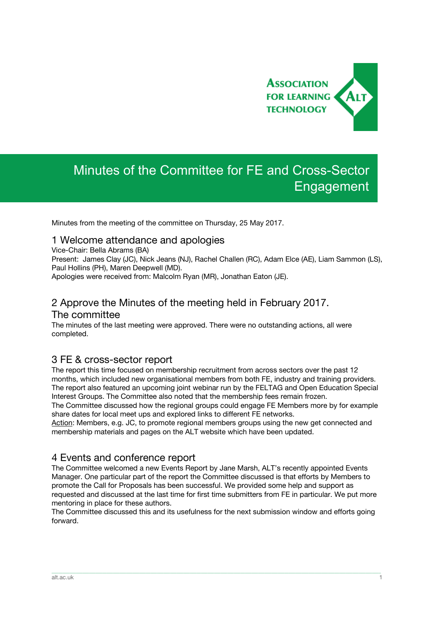

# Minutes of the Committee for FE and Cross-Sector Engagement

Minutes from the meeting of the committee on Thursday, 25 May 2017.

#### 1 Welcome attendance and apologies

Vice-Chair: Bella Abrams (BA)

Present: James Clay (JC), Nick Jeans (NJ), Rachel Challen (RC), Adam Elce (AE), Liam Sammon (LS), Paul Hollins (PH), Maren Deepwell (MD).

Apologies were received from: Malcolm Ryan (MR), Jonathan Eaton (JE).

## 2 Approve the Minutes of the meeting held in February 2017. The committee

The minutes of the last meeting were approved. There were no outstanding actions, all were completed.

## 3 FE & cross-sector report

The report this time focused on membership recruitment from across sectors over the past 12 months, which included new organisational members from both FE, industry and training providers. The report also featured an upcoming joint webinar run by the FELTAG and Open Education Special Interest Groups. The Committee also noted that the membership fees remain frozen.

The Committee discussed how the regional groups could engage FE Members more by for example share dates for local meet ups and explored links to different FE networks.

Action: Members, e.g. JC, to promote regional members groups using the new get connected and membership materials and pages on the ALT website which have been updated.

## 4 Events and conference report

The Committee welcomed a new Events Report by Jane Marsh, ALT's recently appointed Events Manager. One particular part of the report the Committee discussed is that efforts by Members to promote the Call for Proposals has been successful. We provided some help and support as requested and discussed at the last time for first time submitters from FE in particular. We put more mentoring in place for these authors.

The Committee discussed this and its usefulness for the next submission window and efforts going forward.

\_\_\_\_\_\_\_\_\_\_\_\_\_\_\_\_\_\_\_\_\_\_\_\_\_\_\_\_\_\_\_\_\_\_\_\_\_\_\_\_\_\_\_\_\_\_\_\_\_\_\_\_\_\_\_\_\_\_\_\_\_\_\_\_\_\_\_\_\_\_\_\_\_\_\_\_\_\_\_\_\_\_\_\_\_\_\_\_\_\_\_\_\_\_\_\_\_\_\_\_\_\_\_\_\_\_\_\_\_\_\_\_\_\_\_\_\_\_\_\_\_\_\_\_\_\_\_\_\_\_\_\_\_\_\_\_\_\_\_\_\_\_\_\_\_\_\_\_\_\_